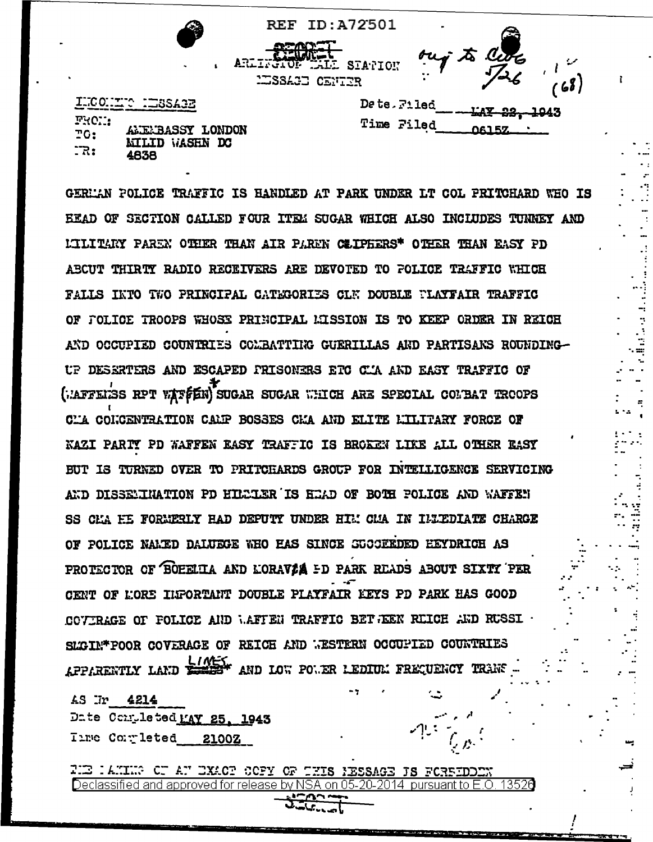|                                               |                      |                                         | <b>REF ID:A72501</b> | ۰                                  |                          |    |
|-----------------------------------------------|----------------------|-----------------------------------------|----------------------|------------------------------------|--------------------------|----|
|                                               |                      |                                         |                      |                                    |                          |    |
| $\mathbf{r}_\mathrm{c}$                       | $\ddot{\phantom{1}}$ | ARLINGTON DALL STATION<br>ESSAGE CENTER |                      | ouj to Cute<br>$\bullet$ $\bullet$ |                          | 68 |
| LECONDED HISSARE                              |                      |                                         | Dete Filed           |                                    | <del>lay 22, 19</del> 43 |    |
| FROM:<br>ALEMBASSY LONDON<br>T0:              |                      |                                         | Time Filed           |                                    | 06157                    |    |
| <b>NILID</b><br>$\mathbb{R}$ :<br><b>4838</b> | WASHN DC             |                                         |                      |                                    |                          |    |

GERMAN POLICE TRAFFIC IS HANDLED AT PARK UNDER LT COL PRITCHARD WHO IS EEAD OF SECTION CALLED FOUR ITEM SUGAR WHICH ALSO INCLUDES TUNNEY AND LILITARY PAREN OTHER THAN AIR PAREN CEIPHERS\* OTHER THAN EASY PD ABCUT THIRTY RADIO RECEIVERS ARE DEVOTED TO POLICE TRAFFIC WHICH FALLS INTO TWO PRINCIPAL CATEGORIES CLN DOUBLE FLAYFAIR TRAFFIC OF FOLICE TROOPS WHOSE PRINCIPAL MISSION IS TO KEEP ORDER IN REICH AND OCCUPIED COUNTRIES COMBATTIKG GUERILLAS AND PARTISANS ROUNDING-UP DESERTERS AND ESCAPED PRISONERS ETC CIA AND EASY TRAFFIC OF (METERS RPT WATFEN) SUGAR SUGAR WHICH ARE SPECIAL COMBAT TROOPS CL'A CONCENTRATION CALP BOSSES CLA AND ELITE LILITARY FORCE OF KAZI PARIY PD WAFFEN EASY TRAFFIC IS BROKEN LIKE ALL OTHER EASY BUT IS TURNED OVER TO PRITCHARDS GROUP FOR INTELLIGENCE SERVICING AND DISSENTHATION PD HILLIER IS HEAD OF BOTH POLICE AND WAFFEN SS CHA HE FORMERLY HAD DEFUTY UNDER HIM CHA IN INTEDIATE CHARGE OF POLICE NAMED DALUEGE WHO HAS SINCE SUCCEEDED HEYDRICH AS PROTECTOR OF BOEELIA AND LORAVIA ED PARK READS ABOUT SIXTY PER CENT OF LORE INFORTANT DOUBLE PLAYFAIR KEYS PD PARK HAS GOOD COVERAGE OF FOLICE AND WAFTEN TRAFFIC BET JEEN REICH AND RUSSI . SLGIN\*POOR COVERAGE OF REICH AND WESTERN OCCUPIED COUNTRIES APPARENTLY LAND LOW AND LOW POWER LEDIUM FREQUENCY TRANS

AS Ir 4214 Date Completed MAY 25, 1943 Tire Completed 2100Z

FIE : AMING OF AN EXACT COFY OF THIS NESSAGE IS FOREEDOEN 13526 Declassified and approved for release by NSA on 05-20-2014 pursuant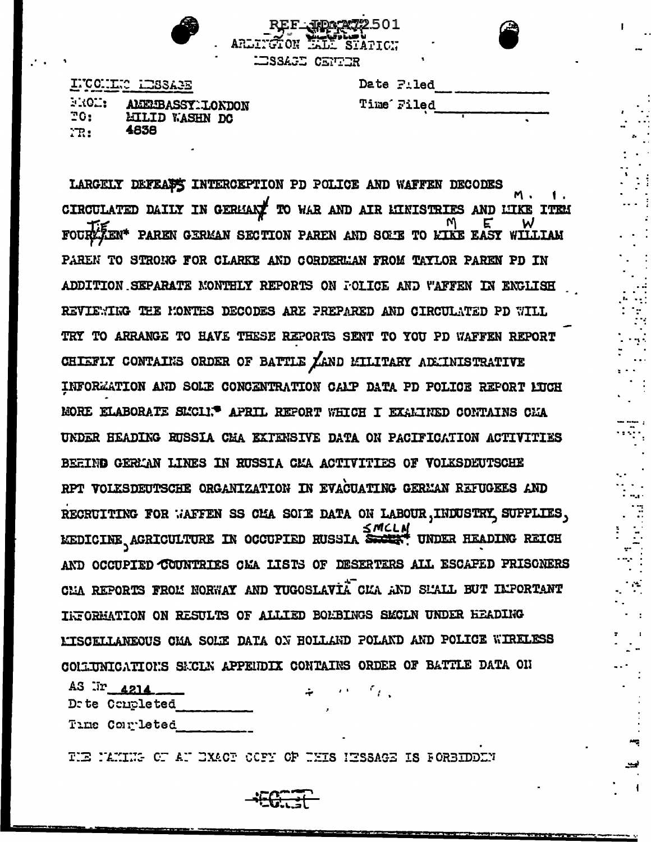

ALL STATTON

LESSAGE CENTER

INCONLES LESSAGE FROM: AMERIBASSYMIONDON  $20:$ **LILID WASHN DC** 4838  $TR:$ 

| Date Filed |
|------------|
| Time Filed |

LARGELY DEFEASE INTERCEPTION PD POLICE AND WAFFEN DECODES CIRCULATED DAILY IN GERMANY TO WAR AND AIR LINISTRIES AND LIKE ITEM FOURZEN\* PAREN GERMAN SECTION PAREN AND SOME TO KIKE EASY WILLIAM PAREN TO STRONG FOR CLARKE AND CORDERMAN FROM TAYLOR PAREN PD IN ADDITION SEPARATE MONTHLY REPORTS ON FOLICE AND WAFFEN IN ENGLISH REVIEWIKG THE MONTHS DECODES ARE PREPARED AND CIRCULATED PD WILL TRY TO ARRANGE TO HAVE THESE REPORTS SENT TO YOU PD WAFFEN REPORT CHIEFLY CONTAINS ORDER OF BATTLE ZAND MILITARY ADMINISTRATIVE INFORMATION AND SOLE CONCENTRATION CALP DATA PD FOLICE REFORT LUCH MORE ELABORATE SL'CLI.<sup>6</sup> APRIL REFORT WHICH I EXALINED CONTAINS CHA UNDER HEADING RUSSIA CMA EXTENSIVE DATA ON PACIFICATION ACTIVITIES BEEING GERMAN LINES IN RUSSIA CMA ACTIVITIES OF VOLKSDEUTSCHE RPT VOIKSDEUTSCHE ORGANIZATION IN EVACUATING GERMAN REFUGEES AND RECRUITING FOR WAFFEN SS CHA SOIT DATA ON LABOUR, INDUSTRY SUPPLIES, EXEDICINE AGRICULTURE IN OCCUPIED RUSSIA SACIES UNDER HEADING REICH AND OCCUPIED COUNTRIES CMA LISTS OF DESERTERS ALL ESCAPED PRISONERS CHA REPORTS FROM NORWAY AND TUGOSLAVIA CMA AND SMALL BUT IMPORTANT INFORMATION ON RESULTS OF ALLIED BOMBINGS SMCLN UNDER HEADING L'ISCELLANEOUS CHA SOLE DATA ON HOLLAND POLAND AND POLICE WIRELESS COMMITION SECLE APPENDIX CONTAINS ORDER OF BATTLE DATA ON

AS  $\overline{ar}$  4214 Dete Conpleted Time Completed

TIE MANING OF AN EXACT COFY OF THIS HESSAGE IS FORBIDDEN